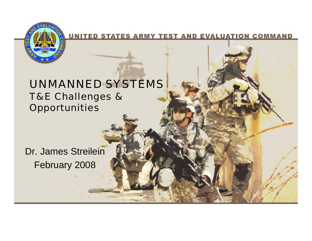

UNITED STATES ARMY TEST AND EVALUATION COMMAND

### UNMANNED SYSTEMS T&E Challenges & **Opportunities**

Dr. James Streilein February 2008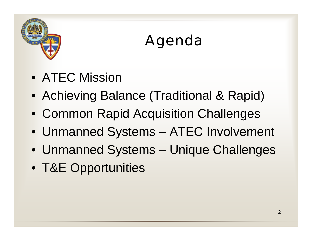

# Agenda

- ATEC Mission
- Achieving Balance (Traditional & Rapid)
- Common Rapid Acquisition Challenges
- Unmanned Systems ATEC Involvement
- Unmanned Systems Unique Challenges
- T&E Opportunities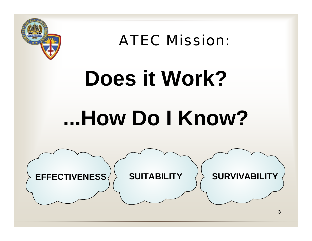

ATEC Mission:

# **Does it Work? ...How Do I Know?**

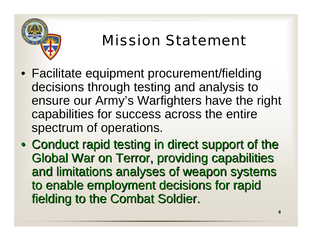

## Mission Statement

- Facilitate equipment procurement/fielding decisions through testing and analysis to ensure our Army's Warfighters have the right capabilities for success across the entire spectrum of operations.
- Conduct rapid testing in direct support of the Global War on Terror, providing capabilities and limitations analyses of weapon systems to enable employment decisions for rapid fielding to the Combat Soldier.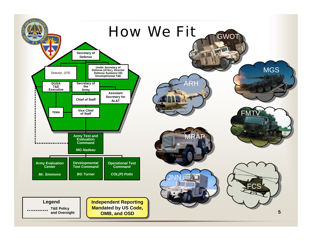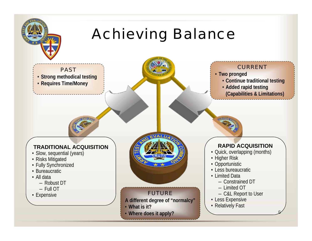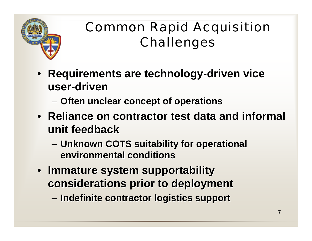

### Common Rapid Acquisition Challenges

- **Requirements are technology-driven vice user-driven**
	- – $-$  Often unclear concept of operations
- Reliance on contractor test data and informal **unit feedback unit feedback**
	- –**– Unknown COTS suitability for operational environmental conditions environmental conditions**
- **Immature system supportability Immature system supportability considerations prior to deployment considerations prior to deployment**
	- –**Indefinite contractor logistics support Indefinite contractor logistics support**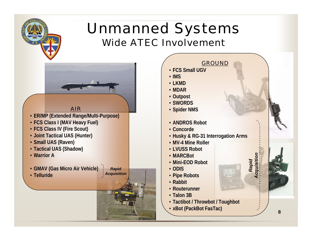### Unmanned Systems Wide ATEC Involvement



#### **GROUND**

• **FCS Small UGV**

• **IMS**

- **LKMD**
- **MDAR**
- **Outpost**
- **SWORDS**
- **Spider NMS**
- **ANDROS Robot**
- **Concorde**
- **Husky & RG-31 Interrogation Arms**
- **MV-4 Mine Roller**
- **LVUSS Robot**
- **MARCBot**
- **Mini-EOD Robot**
- **ODIS**
- **Pipe Robots**
- **Rabbit**
- **Routerunner**
- **Talon 3B**
- **Tactibot / Throwbot / Toughbot**
- **xBot (PackBot FasTac)**

*Rapid Acquisition*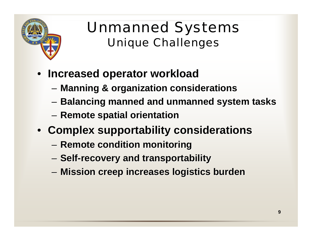

### Unmanned Systems Unique Challenges

- **Increased operator workload Increased operator workload**
	- –**Manning & organization considerations**
	- –**Balancing manned and unmanned system tasks Balancing manned and unmanned system tasks**
	- –**Remote spatial orientation Remote spatial orientation**
- **Complex supportability considerations** 
	- – $-$  Remote condition monitoring
	- –**Self-recovery and transportability recovery and transportability**
	- –**Mission creep increases logistics burden Mission creep increases logistics burden**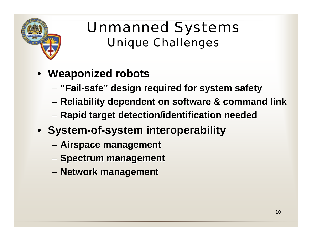

### Unmanned Systems Unique Challenges

- **Weaponized Weaponized robots**
	- – $-$  "Fail-safe" design required for system safety
	- – $-$  Reliability dependent on software & command link
	- –**Rapid target detection/identification needed Rapid target detection/identification needed**
- **System-of-system interoperability system interoperability**
	- –**Airspace management Airspace management**
	- –**- Spectrum management**
	- –**Network management Network management**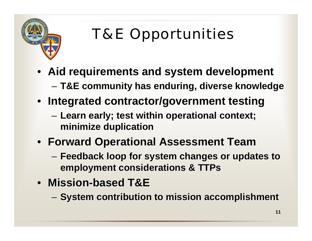

# T&E Opportunities

- **Aid requirements and system development Aid requirements and system development**
	- –**T&E community has enduring, diverse knowledge T&E community has enduring, diverse knowledge**
- **Integrated contractor/government testing Integrated contractor/government testing**
	- – **Learn early; test within operational context; Learn early; test within operational context; minimize duplication minimize duplication**
- **Forward Operational Assessment Team Forward Operational Assessment Team**
	- – **Feedback loop for system changes or updates to Feedback loop for system changes or updates to employment considerations & TTPs**
- **Mission Mission-based T&E based T&E**
	- – $-$  System contribution to mission accomplishment